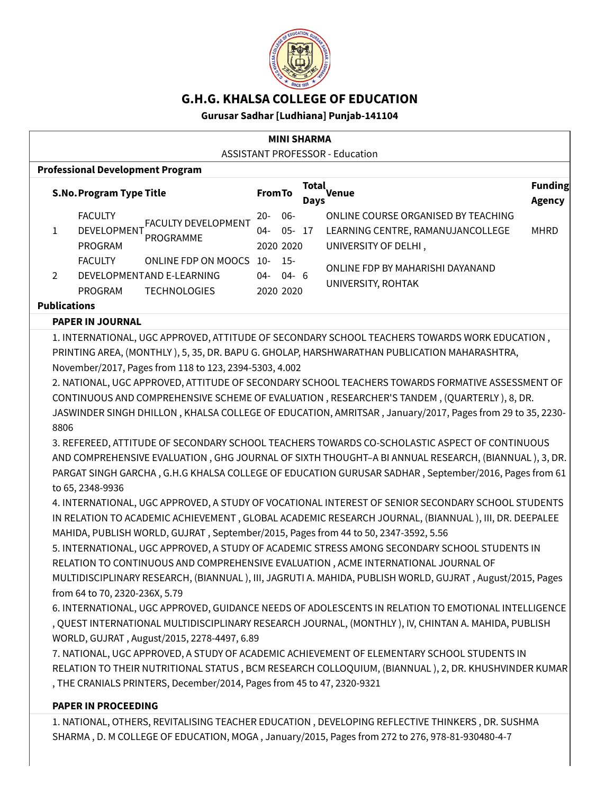

# **G.H.G. KHALSA COLLEGE OF EDUCATION**

# **Gurusar Sadhar [Ludhiana] Punjab-141104**

| <b>MINI SHARMA</b>                                                                                                                                                                                                                                                                                                                                                                                                                                                                                                                                                                                                                                                                                                                                                                                                                                                                                                                                                                                                                                                                                                                                                                                                                                                                                                                                                                                                                                                                                                                                                                                                                                                                                                                                                                                                                                                                                                                                                                                                                                                                                                                   |                                                                                                                                  |                                                 |                                                                                                               |                                 |  |  |  |
|--------------------------------------------------------------------------------------------------------------------------------------------------------------------------------------------------------------------------------------------------------------------------------------------------------------------------------------------------------------------------------------------------------------------------------------------------------------------------------------------------------------------------------------------------------------------------------------------------------------------------------------------------------------------------------------------------------------------------------------------------------------------------------------------------------------------------------------------------------------------------------------------------------------------------------------------------------------------------------------------------------------------------------------------------------------------------------------------------------------------------------------------------------------------------------------------------------------------------------------------------------------------------------------------------------------------------------------------------------------------------------------------------------------------------------------------------------------------------------------------------------------------------------------------------------------------------------------------------------------------------------------------------------------------------------------------------------------------------------------------------------------------------------------------------------------------------------------------------------------------------------------------------------------------------------------------------------------------------------------------------------------------------------------------------------------------------------------------------------------------------------------|----------------------------------------------------------------------------------------------------------------------------------|-------------------------------------------------|---------------------------------------------------------------------------------------------------------------|---------------------------------|--|--|--|
| <b>ASSISTANT PROFESSOR - Education</b>                                                                                                                                                                                                                                                                                                                                                                                                                                                                                                                                                                                                                                                                                                                                                                                                                                                                                                                                                                                                                                                                                                                                                                                                                                                                                                                                                                                                                                                                                                                                                                                                                                                                                                                                                                                                                                                                                                                                                                                                                                                                                               |                                                                                                                                  |                                                 |                                                                                                               |                                 |  |  |  |
|                                                                                                                                                                                                                                                                                                                                                                                                                                                                                                                                                                                                                                                                                                                                                                                                                                                                                                                                                                                                                                                                                                                                                                                                                                                                                                                                                                                                                                                                                                                                                                                                                                                                                                                                                                                                                                                                                                                                                                                                                                                                                                                                      | <b>Professional Development Program</b>                                                                                          |                                                 |                                                                                                               |                                 |  |  |  |
|                                                                                                                                                                                                                                                                                                                                                                                                                                                                                                                                                                                                                                                                                                                                                                                                                                                                                                                                                                                                                                                                                                                                                                                                                                                                                                                                                                                                                                                                                                                                                                                                                                                                                                                                                                                                                                                                                                                                                                                                                                                                                                                                      | <b>S.No. Program Type Title</b>                                                                                                  | <b>From To</b>                                  | Total<br>Venue<br>Days                                                                                        | <b>Funding</b><br><b>Agency</b> |  |  |  |
| $\mathbf{1}$                                                                                                                                                                                                                                                                                                                                                                                                                                                                                                                                                                                                                                                                                                                                                                                                                                                                                                                                                                                                                                                                                                                                                                                                                                                                                                                                                                                                                                                                                                                                                                                                                                                                                                                                                                                                                                                                                                                                                                                                                                                                                                                         | <b>FACULTY</b><br><b>FACULTY DEVELOPMENT</b><br>DEVELOPMENT<br>PROGRAMME<br>PROGRAM<br><b>FACULTY</b><br>ONLINE FDP ON MOOCS 10- | $06 -$<br>$20-$<br>$04 -$<br>2020 2020<br>$15-$ | ONLINE COURSE ORGANISED BY TEACHING<br>$05 - 17$<br>LEARNING CENTRE, RAMANUJANCOLLEGE<br>UNIVERSITY OF DELHI, | <b>MHRD</b>                     |  |  |  |
| $\overline{2}$                                                                                                                                                                                                                                                                                                                                                                                                                                                                                                                                                                                                                                                                                                                                                                                                                                                                                                                                                                                                                                                                                                                                                                                                                                                                                                                                                                                                                                                                                                                                                                                                                                                                                                                                                                                                                                                                                                                                                                                                                                                                                                                       | DEVELOPMENTAND E-LEARNING<br>PROGRAM<br><b>TECHNOLOGIES</b><br><b>Publications</b>                                               | $04 - 04 - 6$<br>2020 2020                      | ONLINE FDP BY MAHARISHI DAYANAND<br>UNIVERSITY, ROHTAK                                                        |                                 |  |  |  |
|                                                                                                                                                                                                                                                                                                                                                                                                                                                                                                                                                                                                                                                                                                                                                                                                                                                                                                                                                                                                                                                                                                                                                                                                                                                                                                                                                                                                                                                                                                                                                                                                                                                                                                                                                                                                                                                                                                                                                                                                                                                                                                                                      |                                                                                                                                  |                                                 |                                                                                                               |                                 |  |  |  |
| <b>PAPER IN JOURNAL</b><br>1. INTERNATIONAL, UGC APPROVED, ATTITUDE OF SECONDARY SCHOOL TEACHERS TOWARDS WORK EDUCATION,<br>PRINTING AREA, (MONTHLY), 5, 35, DR. BAPU G. GHOLAP, HARSHWARATHAN PUBLICATION MAHARASHTRA,<br>November/2017, Pages from 118 to 123, 2394-5303, 4.002<br>2. NATIONAL, UGC APPROVED, ATTITUDE OF SECONDARY SCHOOL TEACHERS TOWARDS FORMATIVE ASSESSMENT OF<br>CONTINUOUS AND COMPREHENSIVE SCHEME OF EVALUATION, RESEARCHER'S TANDEM, (QUARTERLY), 8, DR.<br>JASWINDER SINGH DHILLON, KHALSA COLLEGE OF EDUCATION, AMRITSAR, January/2017, Pages from 29 to 35, 2230-<br>8806<br>3. REFEREED, ATTITUDE OF SECONDARY SCHOOL TEACHERS TOWARDS CO-SCHOLASTIC ASPECT OF CONTINUOUS<br>AND COMPREHENSIVE EVALUATION, GHG JOURNAL OF SIXTH THOUGHT-A BI ANNUAL RESEARCH, (BIANNUAL), 3, DR.<br>PARGAT SINGH GARCHA, G.H.G KHALSA COLLEGE OF EDUCATION GURUSAR SADHAR, September/2016, Pages from 61<br>to 65, 2348-9936<br>4. INTERNATIONAL, UGC APPROVED, A STUDY OF VOCATIONAL INTEREST OF SENIOR SECONDARY SCHOOL STUDENTS<br>IN RELATION TO ACADEMIC ACHIEVEMENT, GLOBAL ACADEMIC RESEARCH JOURNAL, (BIANNUAL), III, DR. DEEPALEE<br>MAHIDA, PUBLISH WORLD, GUJRAT, September/2015, Pages from 44 to 50, 2347-3592, 5.56<br>5. INTERNATIONAL, UGC APPROVED, A STUDY OF ACADEMIC STRESS AMONG SECONDARY SCHOOL STUDENTS IN<br>RELATION TO CONTINUOUS AND COMPREHENSIVE EVALUATION, ACME INTERNATIONAL JOURNAL OF<br>MULTIDISCIPLINARY RESEARCH, (BIANNUAL), III, JAGRUTI A. MAHIDA, PUBLISH WORLD, GUJRAT, August/2015, Pages<br>from 64 to 70, 2320-236X, 5.79<br>6. INTERNATIONAL, UGC APPROVED, GUIDANCE NEEDS OF ADOLESCENTS IN RELATION TO EMOTIONAL INTELLIGENCE<br>, QUEST INTERNATIONAL MULTIDISCIPLINARY RESEARCH JOURNAL, (MONTHLY), IV, CHINTAN A. MAHIDA, PUBLISH<br>WORLD, GUJRAT, August/2015, 2278-4497, 6.89<br>7. NATIONAL, UGC APPROVED, A STUDY OF ACADEMIC ACHIEVEMENT OF ELEMENTARY SCHOOL STUDENTS IN<br>RELATION TO THEIR NUTRITIONAL STATUS, BCM RESEARCH COLLOQUIUM, (BIANNUAL), 2, DR. KHUSHVINDER KUMAR<br>, THE CRANIALS PRINTERS, December/2014, Pages from 45 to 47, 2320-9321 |                                                                                                                                  |                                                 |                                                                                                               |                                 |  |  |  |
| <b>PAPER IN PROCEEDING</b>                                                                                                                                                                                                                                                                                                                                                                                                                                                                                                                                                                                                                                                                                                                                                                                                                                                                                                                                                                                                                                                                                                                                                                                                                                                                                                                                                                                                                                                                                                                                                                                                                                                                                                                                                                                                                                                                                                                                                                                                                                                                                                           |                                                                                                                                  |                                                 |                                                                                                               |                                 |  |  |  |
| 1. NATIONAL, OTHERS, REVITALISING TEACHER EDUCATION, DEVELOPING REFLECTIVE THINKERS, DR. SUSHMA<br>SHARMA, D. M COLLEGE OF EDUCATION, MOGA, January/2015, Pages from 272 to 276, 978-81-930480-4-7                                                                                                                                                                                                                                                                                                                                                                                                                                                                                                                                                                                                                                                                                                                                                                                                                                                                                                                                                                                                                                                                                                                                                                                                                                                                                                                                                                                                                                                                                                                                                                                                                                                                                                                                                                                                                                                                                                                                   |                                                                                                                                  |                                                 |                                                                                                               |                                 |  |  |  |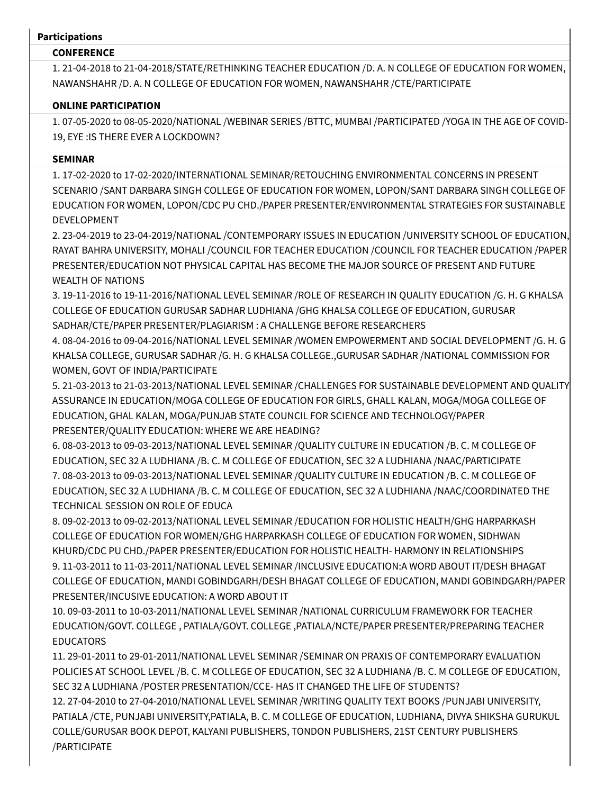#### **Participations**

### **CONFERENCE**

1. 21-04-2018 to 21-04-2018/STATE/RETHINKING TEACHER EDUCATION /D. A. N COLLEGE OF EDUCATION FOR WOMEN, NAWANSHAHR /D. A. N COLLEGE OF EDUCATION FOR WOMEN, NAWANSHAHR /CTE/PARTICIPATE

# **ONLINE PARTICIPATION**

1. 07-05-2020 to 08-05-2020/NATIONAL /WEBINAR SERIES /BTTC, MUMBAI /PARTICIPATED /YOGA IN THE AGE OF COVID-19, EYE :IS THERE EVER A LOCKDOWN?

# **SEMINAR**

1. 17-02-2020 to 17-02-2020/INTERNATIONAL SEMINAR/RETOUCHING ENVIRONMENTAL CONCERNS IN PRESENT SCENARIO /SANT DARBARA SINGH COLLEGE OF EDUCATION FOR WOMEN, LOPON/SANT DARBARA SINGH COLLEGE OF EDUCATION FOR WOMEN, LOPON/CDC PU CHD./PAPER PRESENTER/ENVIRONMENTAL STRATEGIES FOR SUSTAINABLE DEVELOPMENT

2. 23-04-2019 to 23-04-2019/NATIONAL /CONTEMPORARY ISSUES IN EDUCATION /UNIVERSITY SCHOOL OF EDUCATION, RAYAT BAHRA UNIVERSITY, MOHALI /COUNCIL FOR TEACHER EDUCATION /COUNCIL FOR TEACHER EDUCATION /PAPER PRESENTER/EDUCATION NOT PHYSICAL CAPITAL HAS BECOME THE MAJOR SOURCE OF PRESENT AND FUTURE WEALTH OF NATIONS

3. 19-11-2016 to 19-11-2016/NATIONAL LEVEL SEMINAR /ROLE OF RESEARCH IN QUALITY EDUCATION /G. H. G KHALSA COLLEGE OF EDUCATION GURUSAR SADHAR LUDHIANA /GHG KHALSA COLLEGE OF EDUCATION, GURUSAR SADHAR/CTE/PAPER PRESENTER/PLAGIARISM : A CHALLENGE BEFORE RESEARCHERS

4. 08-04-2016 to 09-04-2016/NATIONAL LEVEL SEMINAR /WOMEN EMPOWERMENT AND SOCIAL DEVELOPMENT /G. H. G KHALSA COLLEGE, GURUSAR SADHAR /G. H. G KHALSA COLLEGE.,GURUSAR SADHAR /NATIONAL COMMISSION FOR WOMEN, GOVT OF INDIA/PARTICIPATE

5. 21-03-2013 to 21-03-2013/NATIONAL LEVEL SEMINAR /CHALLENGES FOR SUSTAINABLE DEVELOPMENT AND QUALITY ASSURANCE IN EDUCATION/MOGA COLLEGE OF EDUCATION FOR GIRLS, GHALL KALAN, MOGA/MOGA COLLEGE OF EDUCATION, GHAL KALAN, MOGA/PUNJAB STATE COUNCIL FOR SCIENCE AND TECHNOLOGY/PAPER PRESENTER/QUALITY EDUCATION: WHERE WE ARE HEADING?

6. 08-03-2013 to 09-03-2013/NATIONAL LEVEL SEMINAR /QUALITY CULTURE IN EDUCATION /B. C. M COLLEGE OF EDUCATION, SEC 32 A LUDHIANA /B. C. M COLLEGE OF EDUCATION, SEC 32 A LUDHIANA /NAAC/PARTICIPATE 7. 08-03-2013 to 09-03-2013/NATIONAL LEVEL SEMINAR /QUALITY CULTURE IN EDUCATION /B. C. M COLLEGE OF EDUCATION, SEC 32 A LUDHIANA /B. C. M COLLEGE OF EDUCATION, SEC 32 A LUDHIANA /NAAC/COORDINATED THE TECHNICAL SESSION ON ROLE OF EDUCA

8. 09-02-2013 to 09-02-2013/NATIONAL LEVEL SEMINAR /EDUCATION FOR HOLISTIC HEALTH/GHG HARPARKASH COLLEGE OF EDUCATION FOR WOMEN/GHG HARPARKASH COLLEGE OF EDUCATION FOR WOMEN, SIDHWAN KHURD/CDC PU CHD./PAPER PRESENTER/EDUCATION FOR HOLISTIC HEALTH- HARMONY IN RELATIONSHIPS 9. 11-03-2011 to 11-03-2011/NATIONAL LEVEL SEMINAR /INCLUSIVE EDUCATION:A WORD ABOUT IT/DESH BHAGAT COLLEGE OF EDUCATION, MANDI GOBINDGARH/DESH BHAGAT COLLEGE OF EDUCATION, MANDI GOBINDGARH/PAPER PRESENTER/INCUSIVE EDUCATION: A WORD ABOUT IT

10. 09-03-2011 to 10-03-2011/NATIONAL LEVEL SEMINAR /NATIONAL CURRICULUM FRAMEWORK FOR TEACHER EDUCATION/GOVT. COLLEGE , PATIALA/GOVT. COLLEGE ,PATIALA/NCTE/PAPER PRESENTER/PREPARING TEACHER EDUCATORS

11. 29-01-2011 to 29-01-2011/NATIONAL LEVEL SEMINAR /SEMINAR ON PRAXIS OF CONTEMPORARY EVALUATION POLICIES AT SCHOOL LEVEL /B. C. M COLLEGE OF EDUCATION, SEC 32 A LUDHIANA /B. C. M COLLEGE OF EDUCATION, SEC 32 A LUDHIANA /POSTER PRESENTATION/CCE- HAS IT CHANGED THE LIFE OF STUDENTS?

12. 27-04-2010 to 27-04-2010/NATIONAL LEVEL SEMINAR /WRITING QUALITY TEXT BOOKS /PUNJABI UNIVERSITY, PATIALA /CTE, PUNJABI UNIVERSITY,PATIALA, B. C. M COLLEGE OF EDUCATION, LUDHIANA, DIVYA SHIKSHA GURUKUL COLLE/GURUSAR BOOK DEPOT, KALYANI PUBLISHERS, TONDON PUBLISHERS, 21ST CENTURY PUBLISHERS /PARTICIPATE